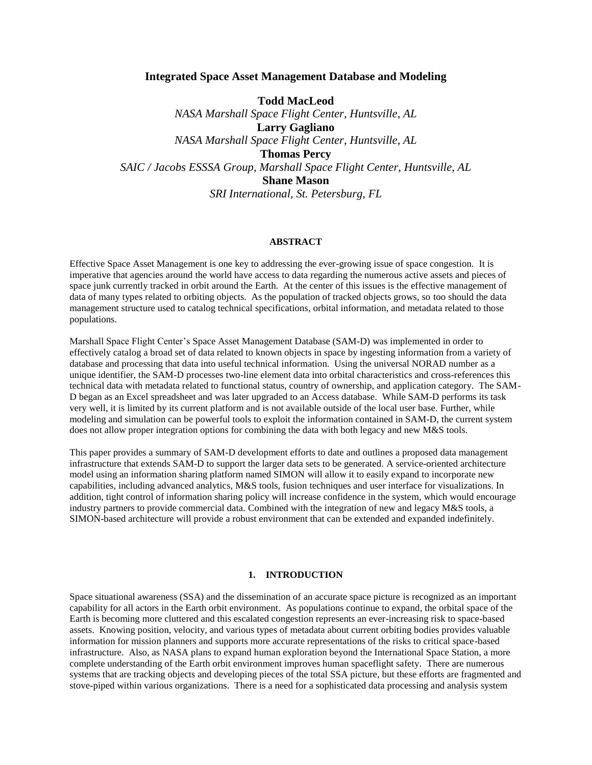## **Integrated Space Asset Management Database and Modeling**

**Todd MacLeod** *NASA Marshall Space Flight Center, Huntsville, AL* **Larry Gagliano** *NASA Marshall Space Flight Center, Huntsville, AL* **Thomas Percy** *SAIC / Jacobs ESSSA Group, Marshall Space Flight Center, Huntsville, AL* **Shane Mason** *SRI International, St. Petersburg, FL*

#### **ABSTRACT**

Effective Space Asset Management is one key to addressing the ever-growing issue of space congestion. It is imperative that agencies around the world have access to data regarding the numerous active assets and pieces of space junk currently tracked in orbit around the Earth. At the center of this issues is the effective management of data of many types related to orbiting objects. As the population of tracked objects grows, so too should the data management structure used to catalog technical specifications, orbital information, and metadata related to those populations.

Marshall Space Flight Center's Space Asset Management Database (SAM-D) was implemented in order to effectively catalog a broad set of data related to known objects in space by ingesting information from a variety of database and processing that data into useful technical information. Using the universal NORAD number as a unique identifier, the SAM-D processes two-line element data into orbital characteristics and cross-references this technical data with metadata related to functional status, country of ownership, and application category. The SAM-D began as an Excel spreadsheet and was later upgraded to an Access database. While SAM-D performs its task very well, it is limited by its current platform and is not available outside of the local user base. Further, while modeling and simulation can be powerful tools to exploit the information contained in SAM-D, the current system does not allow proper integration options for combining the data with both legacy and new M&S tools.

This paper provides a summary of SAM-D development efforts to date and outlines a proposed data management infrastructure that extends SAM-D to support the larger data sets to be generated. A service-oriented architecture model using an information sharing platform named SIMON will allow it to easily expand to incorporate new capabilities, including advanced analytics, M&S tools, fusion techniques and user interface for visualizations. In addition, tight control of information sharing policy will increase confidence in the system, which would encourage industry partners to provide commercial data. Combined with the integration of new and legacy M&S tools, a SIMON-based architecture will provide a robust environment that can be extended and expanded indefinitely.

### **1. INTRODUCTION**

Space situational awareness (SSA) and the dissemination of an accurate space picture is recognized as an important capability for all actors in the Earth orbit environment. As populations continue to expand, the orbital space of the Earth is becoming more cluttered and this escalated congestion represents an ever-increasing risk to space-based assets. Knowing position, velocity, and various types of metadata about current orbiting bodies provides valuable information for mission planners and supports more accurate representations of the risks to critical space-based infrastructure. Also, as NASA plans to expand human exploration beyond the International Space Station, a more complete understanding of the Earth orbit environment improves human spaceflight safety. There are numerous systems that are tracking objects and developing pieces of the total SSA picture, but these efforts are fragmented and stove-piped within various organizations. There is a need for a sophisticated data processing and analysis system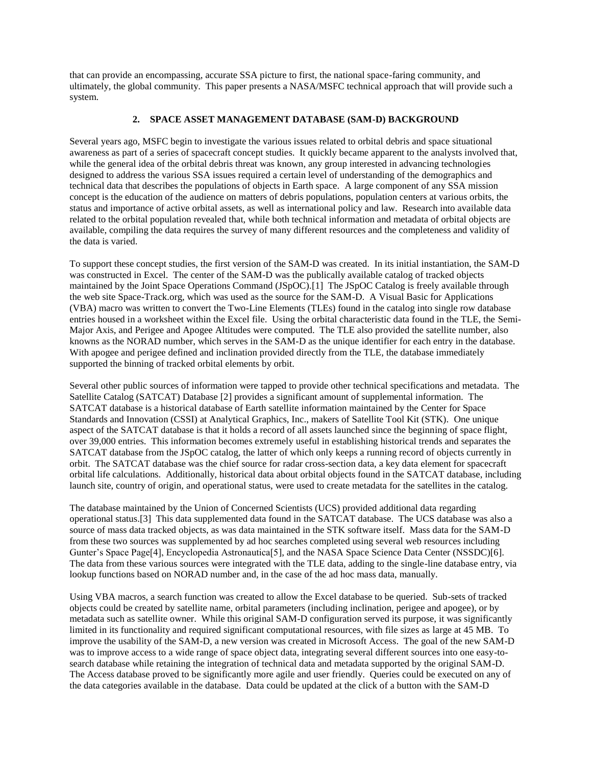that can provide an encompassing, accurate SSA picture to first, the national space-faring community, and ultimately, the global community. This paper presents a NASA/MSFC technical approach that will provide such a system.

## **2. SPACE ASSET MANAGEMENT DATABASE (SAM-D) BACKGROUND**

Several years ago, MSFC begin to investigate the various issues related to orbital debris and space situational awareness as part of a series of spacecraft concept studies. It quickly became apparent to the analysts involved that, while the general idea of the orbital debris threat was known, any group interested in advancing technologies designed to address the various SSA issues required a certain level of understanding of the demographics and technical data that describes the populations of objects in Earth space. A large component of any SSA mission concept is the education of the audience on matters of debris populations, population centers at various orbits, the status and importance of active orbital assets, as well as international policy and law. Research into available data related to the orbital population revealed that, while both technical information and metadata of orbital objects are available, compiling the data requires the survey of many different resources and the completeness and validity of the data is varied.

To support these concept studies, the first version of the SAM-D was created. In its initial instantiation, the SAM-D was constructed in Excel. The center of the SAM-D was the publically available catalog of tracked objects maintained by the Joint Space Operations Command (JSpOC).[1] The JSpOC Catalog is freely available through the web site Space-Track.org, which was used as the source for the SAM-D. A Visual Basic for Applications (VBA) macro was written to convert the Two-Line Elements (TLEs) found in the catalog into single row database entries housed in a worksheet within the Excel file. Using the orbital characteristic data found in the TLE, the Semi-Major Axis, and Perigee and Apogee Altitudes were computed. The TLE also provided the satellite number, also knowns as the NORAD number, which serves in the SAM-D as the unique identifier for each entry in the database. With apogee and perigee defined and inclination provided directly from the TLE, the database immediately supported the binning of tracked orbital elements by orbit.

Several other public sources of information were tapped to provide other technical specifications and metadata. The Satellite Catalog (SATCAT) Database [2] provides a significant amount of supplemental information. The SATCAT database is a historical database of Earth satellite information maintained by the Center for Space Standards and Innovation (CSSI) at Analytical Graphics, Inc., makers of Satellite Tool Kit (STK). One unique aspect of the SATCAT database is that it holds a record of all assets launched since the beginning of space flight, over 39,000 entries. This information becomes extremely useful in establishing historical trends and separates the SATCAT database from the JSpOC catalog, the latter of which only keeps a running record of objects currently in orbit. The SATCAT database was the chief source for radar cross-section data, a key data element for spacecraft orbital life calculations. Additionally, historical data about orbital objects found in the SATCAT database, including launch site, country of origin, and operational status, were used to create metadata for the satellites in the catalog.

The database maintained by the Union of Concerned Scientists (UCS) provided additional data regarding operational status.[3] This data supplemented data found in the SATCAT database. The UCS database was also a source of mass data tracked objects, as was data maintained in the STK software itself. Mass data for the SAM-D from these two sources was supplemented by ad hoc searches completed using several web resources including Gunter's Space Page<sup>[4]</sup>, Encyclopedia Astronautica<sup>[5]</sup>, and the NASA Space Science Data Center (NSSDC)[6]. The data from these various sources were integrated with the TLE data, adding to the single-line database entry, via lookup functions based on NORAD number and, in the case of the ad hoc mass data, manually.

Using VBA macros, a search function was created to allow the Excel database to be queried. Sub-sets of tracked objects could be created by satellite name, orbital parameters (including inclination, perigee and apogee), or by metadata such as satellite owner. While this original SAM-D configuration served its purpose, it was significantly limited in its functionality and required significant computational resources, with file sizes as large at 45 MB. To improve the usability of the SAM-D, a new version was created in Microsoft Access. The goal of the new SAM-D was to improve access to a wide range of space object data, integrating several different sources into one easy-tosearch database while retaining the integration of technical data and metadata supported by the original SAM-D. The Access database proved to be significantly more agile and user friendly. Queries could be executed on any of the data categories available in the database. Data could be updated at the click of a button with the SAM-D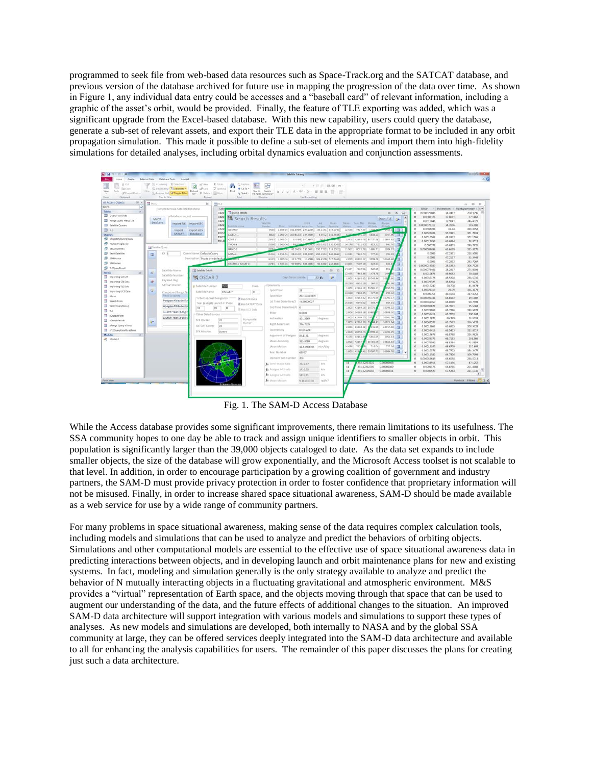programmed to seek file from web-based data resources such as Space-Track.org and the SATCAT database, and previous version of the database archived for future use in mapping the progression of the data over time. As shown in Figure 1, any individual data entry could be accesses and a "baseball card" of relevant information, including a graphic of the asset's orbit, would be provided. Finally, the feature of TLE exporting was added, which was a significant upgrade from the Excel-based database. With this new capability, users could query the database, generate a sub-set of relevant assets, and export their TLE data in the appropriate format to be included in any orbit propagation simulation. This made it possible to define a sub-set of elements and import them into high-fidelity simulations for detailed analyses, including orbital dynamics evaluation and conjunction assessments.



Fig. 1. The SAM-D Access Database

While the Access database provides some significant improvements, there remain limitations to its usefulness. The SSA community hopes to one day be able to track and assign unique identifiers to smaller objects in orbit. This population is significantly larger than the 39,000 objects cataloged to date. As the data set expands to include smaller objects, the size of the database will grow exponentially, and the Microsoft Access toolset is not scalable to that level. In addition, in order to encourage participation by a growing coalition of government and industry partners, the SAM-D must provide privacy protection in order to foster confidence that proprietary information will not be misused. Finally, in order to increase shared space situational awareness, SAM-D should be made available as a web service for use by a wide range of community partners.

For many problems in space situational awareness, making sense of the data requires complex calculation tools, including models and simulations that can be used to analyze and predict the behaviors of orbiting objects. Simulations and other computational models are essential to the effective use of space situational awareness data in predicting interactions between objects, and in developing launch and orbit maintenance plans for new and existing systems. In fact, modeling and simulation generally is the only strategy available to analyze and predict the behavior of N mutually interacting objects in a fluctuating gravitational and atmospheric environment. M&S provides a "virtual" representation of Earth space, and the objects moving through that space that can be used to augment our understanding of the data, and the future effects of additional changes to the situation. An improved SAM-D data architecture will support integration with various models and simulations to support these types of analyses. As new models and simulations are developed, both internally to NASA and by the global SSA community at large, they can be offered services deeply integrated into the SAM-D data architecture and available to all for enhancing the analysis capabilities for users. The remainder of this paper discusses the plans for creating just such a data architecture.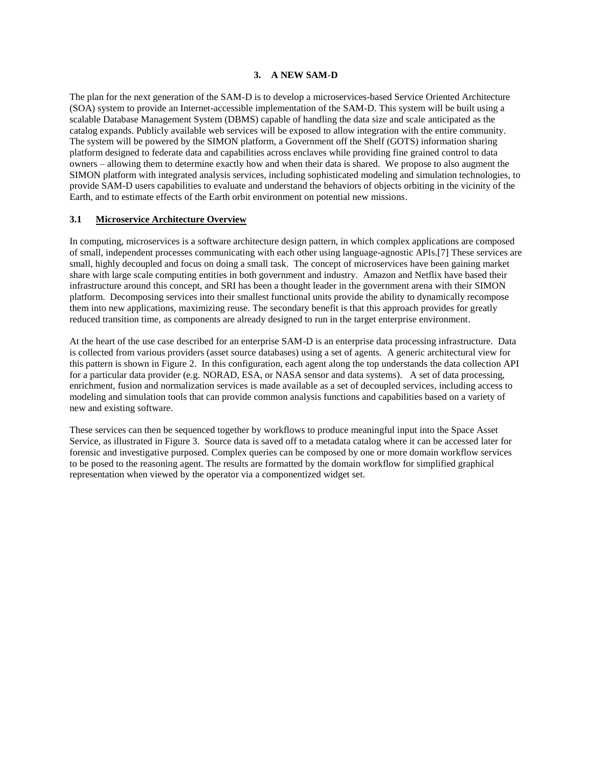### **3. A NEW SAM-D**

The plan for the next generation of the SAM-D is to develop a microservices-based Service Oriented Architecture (SOA) system to provide an Internet-accessible implementation of the SAM-D. This system will be built using a scalable Database Management System (DBMS) capable of handling the data size and scale anticipated as the catalog expands. Publicly available web services will be exposed to allow integration with the entire community. The system will be powered by the SIMON platform, a Government off the Shelf (GOTS) information sharing platform designed to federate data and capabilities across enclaves while providing fine grained control to data owners – allowing them to determine exactly how and when their data is shared. We propose to also augment the SIMON platform with integrated analysis services, including sophisticated modeling and simulation technologies, to provide SAM-D users capabilities to evaluate and understand the behaviors of objects orbiting in the vicinity of the Earth, and to estimate effects of the Earth orbit environment on potential new missions.

### **3.1 Microservice Architecture Overview**

In computing, microservices is a software architecture design pattern, in which complex applications are composed of small, independent processes communicating with each other using language-agnostic APIs.[7] These services are small, highly decoupled and focus on doing a small task. The concept of microservices have been gaining market share with large scale computing entities in both government and industry. Amazon and Netflix have based their infrastructure around this concept, and SRI has been a thought leader in the government arena with their SIMON platform. Decomposing services into their smallest functional units provide the ability to dynamically recompose them into new applications, maximizing reuse. The secondary benefit is that this approach provides for greatly reduced transition time, as components are already designed to run in the target enterprise environment.

At the heart of the use case described for an enterprise SAM-D is an enterprise data processing infrastructure. Data is collected from various providers (asset source databases) using a set of agents. A generic architectural view for this pattern is shown in Figure 2. In this configuration, each agent along the top understands the data collection API for a particular data provider (e.g. NORAD, ESA, or NASA sensor and data systems). A set of data processing, enrichment, fusion and normalization services is made available as a set of decoupled services, including access to modeling and simulation tools that can provide common analysis functions and capabilities based on a variety of new and existing software.

These services can then be sequenced together by workflows to produce meaningful input into the Space Asset Service, as illustrated in Figure 3. Source data is saved off to a metadata catalog where it can be accessed later for forensic and investigative purposed. Complex queries can be composed by one or more domain workflow services to be posed to the reasoning agent. The results are formatted by the domain workflow for simplified graphical representation when viewed by the operator via a componentized widget set.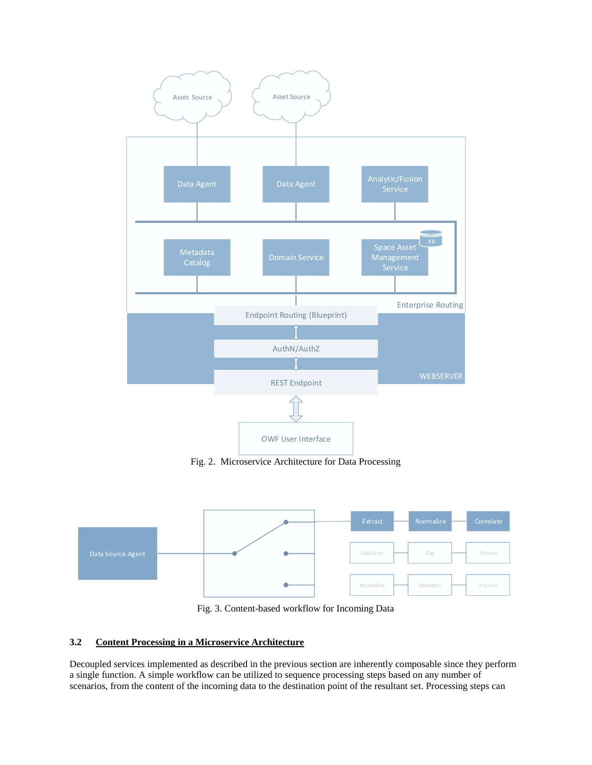

Fig. 2. Microservice Architecture for Data Processing



Fig. 3. Content-based workflow for Incoming Data

# **3.2 Content Processing in a Microservice Architecture**

Decoupled services implemented as described in the previous section are inherently composable since they perform a single function. A simple workflow can be utilized to sequence processing steps based on any number of scenarios, from the content of the incoming data to the destination point of the resultant set. Processing steps can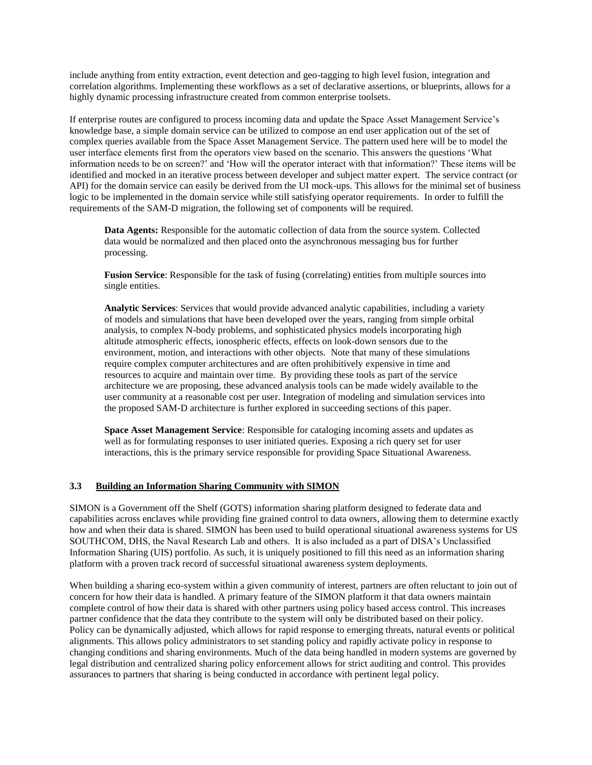include anything from entity extraction, event detection and geo-tagging to high level fusion, integration and correlation algorithms. Implementing these workflows as a set of declarative assertions, or blueprints, allows for a highly dynamic processing infrastructure created from common enterprise toolsets.

If enterprise routes are configured to process incoming data and update the Space Asset Management Service's knowledge base, a simple domain service can be utilized to compose an end user application out of the set of complex queries available from the Space Asset Management Service. The pattern used here will be to model the user interface elements first from the operators view based on the scenario. This answers the questions 'What information needs to be on screen?' and 'How will the operator interact with that information?' These items will be identified and mocked in an iterative process between developer and subject matter expert. The service contract (or API) for the domain service can easily be derived from the UI mock-ups. This allows for the minimal set of business logic to be implemented in the domain service while still satisfying operator requirements. In order to fulfill the requirements of the SAM-D migration, the following set of components will be required.

**Data Agents:** Responsible for the automatic collection of data from the source system. Collected data would be normalized and then placed onto the asynchronous messaging bus for further processing.

**Fusion Service**: Responsible for the task of fusing (correlating) entities from multiple sources into single entities.

**Analytic Services**: Services that would provide advanced analytic capabilities, including a variety of models and simulations that have been developed over the years, ranging from simple orbital analysis, to complex N-body problems, and sophisticated physics models incorporating high altitude atmospheric effects, ionospheric effects, effects on look-down sensors due to the environment, motion, and interactions with other objects. Note that many of these simulations require complex computer architectures and are often prohibitively expensive in time and resources to acquire and maintain over time. By providing these tools as part of the service architecture we are proposing, these advanced analysis tools can be made widely available to the user community at a reasonable cost per user. Integration of modeling and simulation services into the proposed SAM-D architecture is further explored in succeeding sections of this paper.

**Space Asset Management Service**: Responsible for cataloging incoming assets and updates as well as for formulating responses to user initiated queries. Exposing a rich query set for user interactions, this is the primary service responsible for providing Space Situational Awareness.

### **3.3 Building an Information Sharing Community with SIMON**

SIMON is a Government off the Shelf (GOTS) information sharing platform designed to federate data and capabilities across enclaves while providing fine grained control to data owners, allowing them to determine exactly how and when their data is shared. SIMON has been used to build operational situational awareness systems for US SOUTHCOM, DHS, the Naval Research Lab and others. It is also included as a part of DISA's Unclassified Information Sharing (UIS) portfolio. As such, it is uniquely positioned to fill this need as an information sharing platform with a proven track record of successful situational awareness system deployments.

When building a sharing eco-system within a given community of interest, partners are often reluctant to join out of concern for how their data is handled. A primary feature of the SIMON platform it that data owners maintain complete control of how their data is shared with other partners using policy based access control. This increases partner confidence that the data they contribute to the system will only be distributed based on their policy. Policy can be dynamically adjusted, which allows for rapid response to emerging threats, natural events or political alignments. This allows policy administrators to set standing policy and rapidly activate policy in response to changing conditions and sharing environments. Much of the data being handled in modern systems are governed by legal distribution and centralized sharing policy enforcement allows for strict auditing and control. This provides assurances to partners that sharing is being conducted in accordance with pertinent legal policy.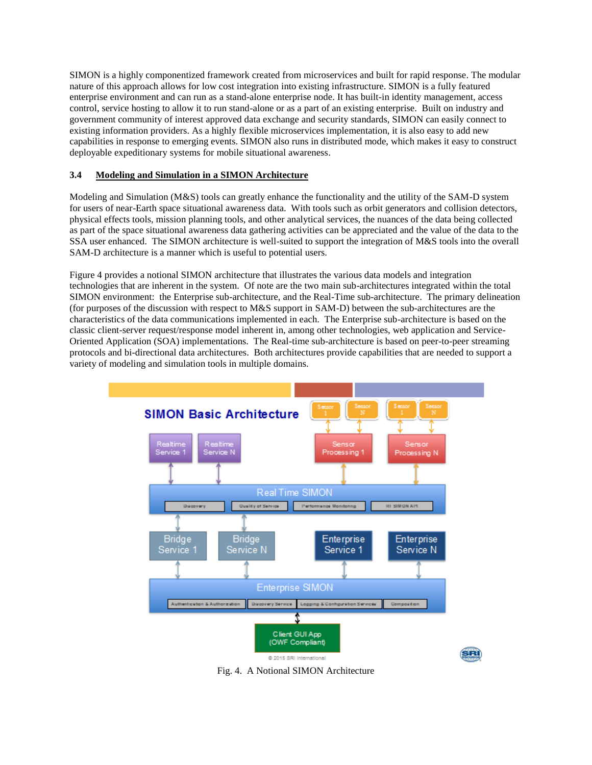SIMON is a highly componentized framework created from microservices and built for rapid response. The modular nature of this approach allows for low cost integration into existing infrastructure. SIMON is a fully featured enterprise environment and can run as a stand-alone enterprise node. It has built-in identity management, access control, service hosting to allow it to run stand-alone or as a part of an existing enterprise. Built on industry and government community of interest approved data exchange and security standards, SIMON can easily connect to existing information providers. As a highly flexible microservices implementation, it is also easy to add new capabilities in response to emerging events. SIMON also runs in distributed mode, which makes it easy to construct deployable expeditionary systems for mobile situational awareness.

## **3.4 Modeling and Simulation in a SIMON Architecture**

Modeling and Simulation (M&S) tools can greatly enhance the functionality and the utility of the SAM-D system for users of near-Earth space situational awareness data. With tools such as orbit generators and collision detectors, physical effects tools, mission planning tools, and other analytical services, the nuances of the data being collected as part of the space situational awareness data gathering activities can be appreciated and the value of the data to the SSA user enhanced. The SIMON architecture is well-suited to support the integration of M&S tools into the overall SAM-D architecture is a manner which is useful to potential users.

Figure 4 provides a notional SIMON architecture that illustrates the various data models and integration technologies that are inherent in the system. Of note are the two main sub-architectures integrated within the total SIMON environment: the Enterprise sub-architecture, and the Real-Time sub-architecture. The primary delineation (for purposes of the discussion with respect to M&S support in SAM-D) between the sub-architectures are the characteristics of the data communications implemented in each. The Enterprise sub-architecture is based on the classic client-server request/response model inherent in, among other technologies, web application and Service-Oriented Application (SOA) implementations. The Real-time sub-architecture is based on peer-to-peer streaming protocols and bi-directional data architectures. Both architectures provide capabilities that are needed to support a variety of modeling and simulation tools in multiple domains.



Fig. 4. A Notional SIMON Architecture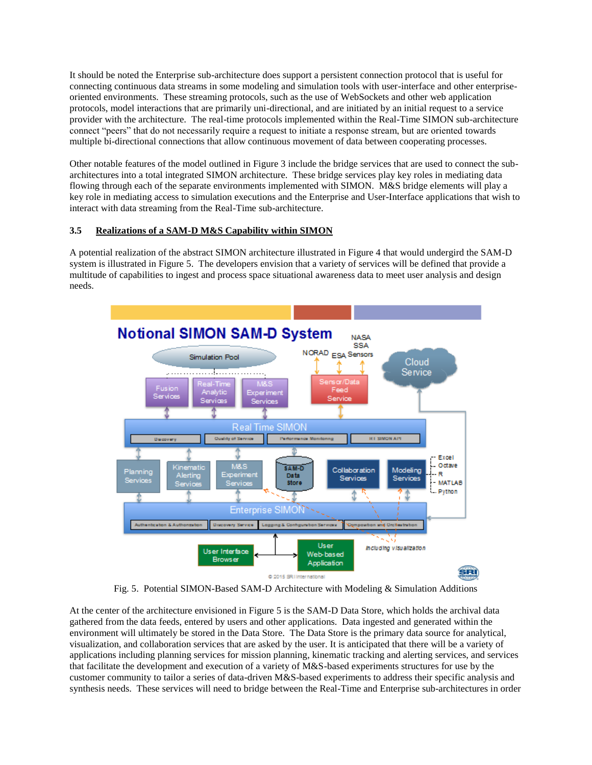It should be noted the Enterprise sub-architecture does support a persistent connection protocol that is useful for connecting continuous data streams in some modeling and simulation tools with user-interface and other enterpriseoriented environments. These streaming protocols, such as the use of WebSockets and other web application protocols, model interactions that are primarily uni-directional, and are initiated by an initial request to a service provider with the architecture. The real-time protocols implemented within the Real-Time SIMON sub-architecture connect "peers" that do not necessarily require a request to initiate a response stream, but are oriented towards multiple bi-directional connections that allow continuous movement of data between cooperating processes.

Other notable features of the model outlined in Figure 3 include the bridge services that are used to connect the subarchitectures into a total integrated SIMON architecture. These bridge services play key roles in mediating data flowing through each of the separate environments implemented with SIMON. M&S bridge elements will play a key role in mediating access to simulation executions and the Enterprise and User-Interface applications that wish to interact with data streaming from the Real-Time sub-architecture.

## **3.5 Realizations of a SAM-D M&S Capability within SIMON**

A potential realization of the abstract SIMON architecture illustrated in Figure 4 that would undergird the SAM-D system is illustrated in Figure 5. The developers envision that a variety of services will be defined that provide a multitude of capabilities to ingest and process space situational awareness data to meet user analysis and design needs.



Fig. 5. Potential SIMON-Based SAM-D Architecture with Modeling & Simulation Additions

At the center of the architecture envisioned in Figure 5 is the SAM-D Data Store, which holds the archival data gathered from the data feeds, entered by users and other applications. Data ingested and generated within the environment will ultimately be stored in the Data Store. The Data Store is the primary data source for analytical, visualization, and collaboration services that are asked by the user. It is anticipated that there will be a variety of applications including planning services for mission planning, kinematic tracking and alerting services, and services that facilitate the development and execution of a variety of M&S-based experiments structures for use by the customer community to tailor a series of data-driven M&S-based experiments to address their specific analysis and synthesis needs. These services will need to bridge between the Real-Time and Enterprise sub-architectures in order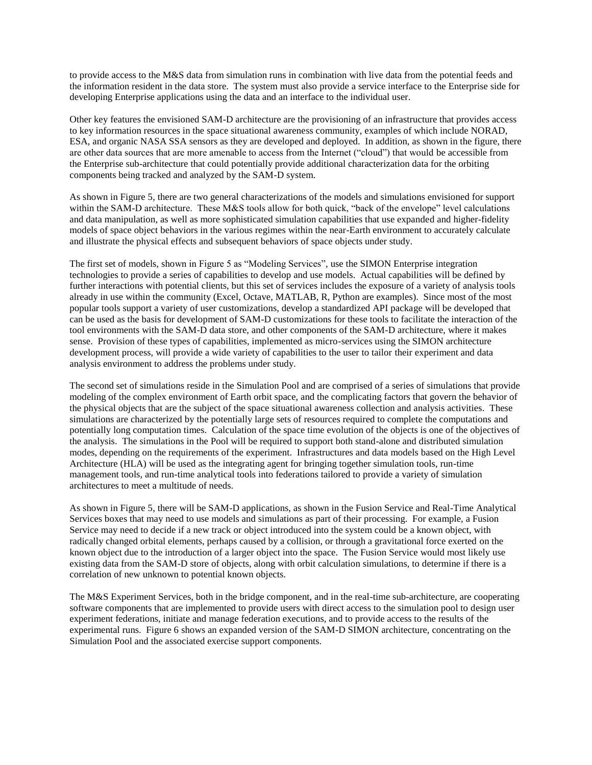to provide access to the M&S data from simulation runs in combination with live data from the potential feeds and the information resident in the data store. The system must also provide a service interface to the Enterprise side for developing Enterprise applications using the data and an interface to the individual user.

Other key features the envisioned SAM-D architecture are the provisioning of an infrastructure that provides access to key information resources in the space situational awareness community, examples of which include NORAD, ESA, and organic NASA SSA sensors as they are developed and deployed. In addition, as shown in the figure, there are other data sources that are more amenable to access from the Internet ("cloud") that would be accessible from the Enterprise sub-architecture that could potentially provide additional characterization data for the orbiting components being tracked and analyzed by the SAM-D system.

As shown in Figure 5, there are two general characterizations of the models and simulations envisioned for support within the SAM-D architecture. These M&S tools allow for both quick, "back of the envelope" level calculations and data manipulation, as well as more sophisticated simulation capabilities that use expanded and higher-fidelity models of space object behaviors in the various regimes within the near-Earth environment to accurately calculate and illustrate the physical effects and subsequent behaviors of space objects under study.

The first set of models, shown in Figure 5 as "Modeling Services", use the SIMON Enterprise integration technologies to provide a series of capabilities to develop and use models. Actual capabilities will be defined by further interactions with potential clients, but this set of services includes the exposure of a variety of analysis tools already in use within the community (Excel, Octave, MATLAB, R, Python are examples). Since most of the most popular tools support a variety of user customizations, develop a standardized API package will be developed that can be used as the basis for development of SAM-D customizations for these tools to facilitate the interaction of the tool environments with the SAM-D data store, and other components of the SAM-D architecture, where it makes sense. Provision of these types of capabilities, implemented as micro-services using the SIMON architecture development process, will provide a wide variety of capabilities to the user to tailor their experiment and data analysis environment to address the problems under study.

The second set of simulations reside in the Simulation Pool and are comprised of a series of simulations that provide modeling of the complex environment of Earth orbit space, and the complicating factors that govern the behavior of the physical objects that are the subject of the space situational awareness collection and analysis activities. These simulations are characterized by the potentially large sets of resources required to complete the computations and potentially long computation times. Calculation of the space time evolution of the objects is one of the objectives of the analysis. The simulations in the Pool will be required to support both stand-alone and distributed simulation modes, depending on the requirements of the experiment. Infrastructures and data models based on the High Level Architecture (HLA) will be used as the integrating agent for bringing together simulation tools, run-time management tools, and run-time analytical tools into federations tailored to provide a variety of simulation architectures to meet a multitude of needs.

As shown in Figure 5, there will be SAM-D applications, as shown in the Fusion Service and Real-Time Analytical Services boxes that may need to use models and simulations as part of their processing. For example, a Fusion Service may need to decide if a new track or object introduced into the system could be a known object, with radically changed orbital elements, perhaps caused by a collision, or through a gravitational force exerted on the known object due to the introduction of a larger object into the space. The Fusion Service would most likely use existing data from the SAM-D store of objects, along with orbit calculation simulations, to determine if there is a correlation of new unknown to potential known objects.

The M&S Experiment Services, both in the bridge component, and in the real-time sub-architecture, are cooperating software components that are implemented to provide users with direct access to the simulation pool to design user experiment federations, initiate and manage federation executions, and to provide access to the results of the experimental runs. Figure 6 shows an expanded version of the SAM-D SIMON architecture, concentrating on the Simulation Pool and the associated exercise support components.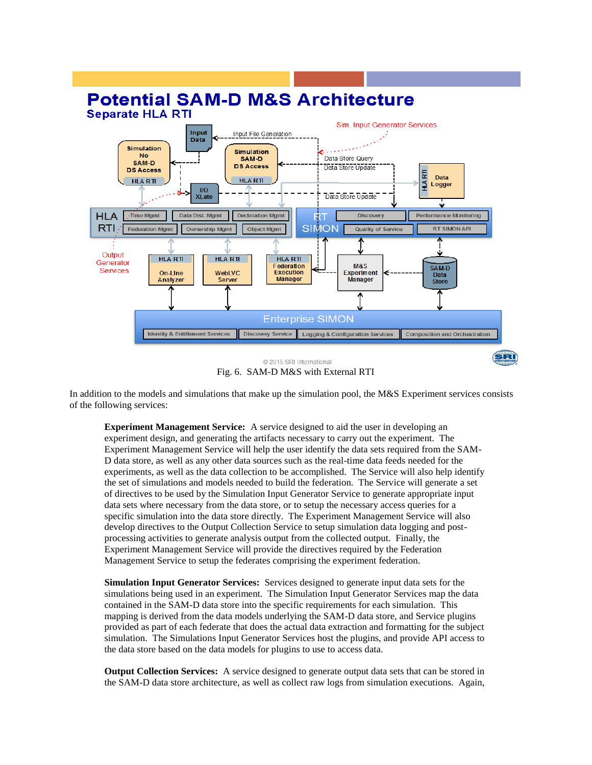

Fig. 6. SAM-D M&S with External RTI

In addition to the models and simulations that make up the simulation pool, the M&S Experiment services consists of the following services:

**Experiment Management Service:** A service designed to aid the user in developing an experiment design, and generating the artifacts necessary to carry out the experiment. The Experiment Management Service will help the user identify the data sets required from the SAM-D data store, as well as any other data sources such as the real-time data feeds needed for the experiments, as well as the data collection to be accomplished. The Service will also help identify the set of simulations and models needed to build the federation. The Service will generate a set of directives to be used by the Simulation Input Generator Service to generate appropriate input data sets where necessary from the data store, or to setup the necessary access queries for a specific simulation into the data store directly. The Experiment Management Service will also develop directives to the Output Collection Service to setup simulation data logging and postprocessing activities to generate analysis output from the collected output. Finally, the Experiment Management Service will provide the directives required by the Federation Management Service to setup the federates comprising the experiment federation.

**Simulation Input Generator Services:** Services designed to generate input data sets for the simulations being used in an experiment. The Simulation Input Generator Services map the data contained in the SAM-D data store into the specific requirements for each simulation. This mapping is derived from the data models underlying the SAM-D data store, and Service plugins provided as part of each federate that does the actual data extraction and formatting for the subject simulation. The Simulations Input Generator Services host the plugins, and provide API access to the data store based on the data models for plugins to use to access data.

**Output Collection Services:** A service designed to generate output data sets that can be stored in the SAM-D data store architecture, as well as collect raw logs from simulation executions. Again,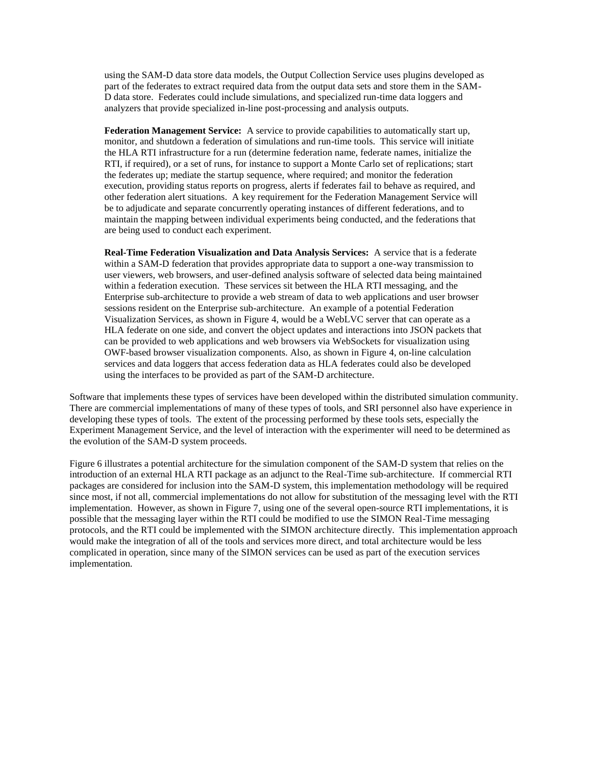using the SAM-D data store data models, the Output Collection Service uses plugins developed as part of the federates to extract required data from the output data sets and store them in the SAM-D data store. Federates could include simulations, and specialized run-time data loggers and analyzers that provide specialized in-line post-processing and analysis outputs.

**Federation Management Service:** A service to provide capabilities to automatically start up, monitor, and shutdown a federation of simulations and run-time tools. This service will initiate the HLA RTI infrastructure for a run (determine federation name, federate names, initialize the RTI, if required), or a set of runs, for instance to support a Monte Carlo set of replications; start the federates up; mediate the startup sequence, where required; and monitor the federation execution, providing status reports on progress, alerts if federates fail to behave as required, and other federation alert situations. A key requirement for the Federation Management Service will be to adjudicate and separate concurrently operating instances of different federations, and to maintain the mapping between individual experiments being conducted, and the federations that are being used to conduct each experiment.

**Real-Time Federation Visualization and Data Analysis Services:** A service that is a federate within a SAM-D federation that provides appropriate data to support a one-way transmission to user viewers, web browsers, and user-defined analysis software of selected data being maintained within a federation execution. These services sit between the HLA RTI messaging, and the Enterprise sub-architecture to provide a web stream of data to web applications and user browser sessions resident on the Enterprise sub-architecture. An example of a potential Federation Visualization Services, as shown in Figure 4, would be a WebLVC server that can operate as a HLA federate on one side, and convert the object updates and interactions into JSON packets that can be provided to web applications and web browsers via WebSockets for visualization using OWF-based browser visualization components. Also, as shown in Figure 4, on-line calculation services and data loggers that access federation data as HLA federates could also be developed using the interfaces to be provided as part of the SAM-D architecture.

Software that implements these types of services have been developed within the distributed simulation community. There are commercial implementations of many of these types of tools, and SRI personnel also have experience in developing these types of tools. The extent of the processing performed by these tools sets, especially the Experiment Management Service, and the level of interaction with the experimenter will need to be determined as the evolution of the SAM-D system proceeds.

Figure 6 illustrates a potential architecture for the simulation component of the SAM-D system that relies on the introduction of an external HLA RTI package as an adjunct to the Real-Time sub-architecture. If commercial RTI packages are considered for inclusion into the SAM-D system, this implementation methodology will be required since most, if not all, commercial implementations do not allow for substitution of the messaging level with the RTI implementation. However, as shown in Figure 7, using one of the several open-source RTI implementations, it is possible that the messaging layer within the RTI could be modified to use the SIMON Real-Time messaging protocols, and the RTI could be implemented with the SIMON architecture directly. This implementation approach would make the integration of all of the tools and services more direct, and total architecture would be less complicated in operation, since many of the SIMON services can be used as part of the execution services implementation.